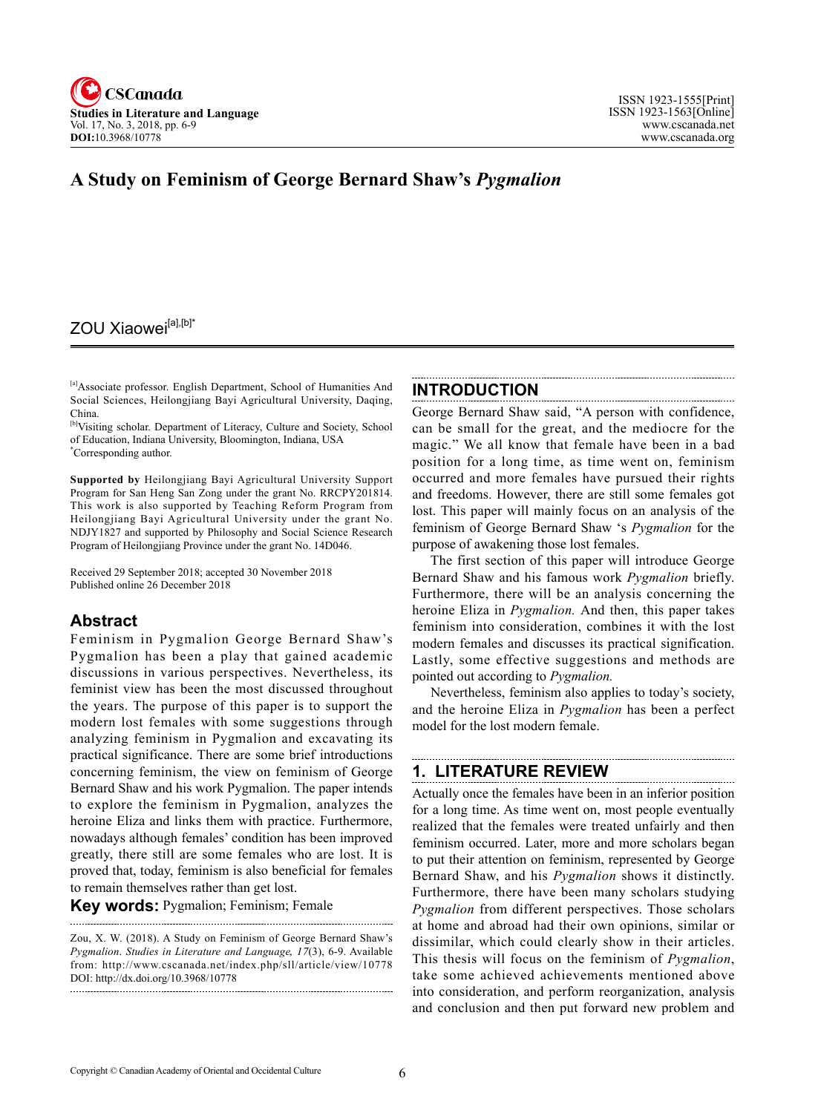

# **A Study on Feminism of George Bernard Shaw's** *Pygmalion*

# ZOU Xiaowei<sup>[a],[b]\*</sup>

[a]Associate professor. English Department, School of Humanities And Social Sciences, Heilongjiang Bayi Agricultural University, Daqing, China.

[b]Visiting scholar. Department of Literacy, Culture and Society, School of Education, Indiana University, Bloomington, Indiana, USA \* Corresponding author.

**Supported by** Heilongjiang Bayi Agricultural University Support Program for San Heng San Zong under the grant No. RRCPY201814. This work is also supported by Teaching Reform Program from Heilongjiang Bayi Agricultural University under the grant No. NDJY1827 and supported by Philosophy and Social Science Research Program of Heilongjiang Province under the grant No. 14D046.

Received 29 September 2018; accepted 30 November 2018 Published online 26 December 2018

## **Abstract**

Feminism in Pygmalion George Bernard Shaw's Pygmalion has been a play that gained academic discussions in various perspectives. Nevertheless, its feminist view has been the most discussed throughout the years. The purpose of this paper is to support the modern lost females with some suggestions through analyzing feminism in Pygmalion and excavating its practical significance. There are some brief introductions concerning feminism, the view on feminism of George Bernard Shaw and his work Pygmalion. The paper intends to explore the feminism in Pygmalion, analyzes the heroine Eliza and links them with practice. Furthermore, nowadays although females' condition has been improved greatly, there still are some females who are lost. It is proved that, today, feminism is also beneficial for females to remain themselves rather than get lost.

**Key words:** Pygmalion; Feminism; Female

Zou, X. W. (2018). A Study on Feminism of George Bernard Shaw's *Pygmalion*. *Studies in Literature and Language*, <sup>17</sup>(3), 6-9. Available from: http://www.cscanada.net/index.php/sll/article/view/10778 DOI: http://dx.doi.org/10.3968/10778

## **INTRODUCTION**

George Bernard Shaw said, "A person with confidence, can be small for the great, and the mediocre for the magic." We all know that female have been in a bad position for a long time, as time went on, feminism occurred and more females have pursued their rights and freedoms. However, there are still some females got lost. This paper will mainly focus on an analysis of the feminism of George Bernard Shaw 's *Pygmalion* for the purpose of awakening those lost females.

The first section of this paper will introduce George Bernard Shaw and his famous work *Pygmalion* briefly. Furthermore, there will be an analysis concerning the heroine Eliza in *Pygmalion.* And then, this paper takes feminism into consideration, combines it with the lost modern females and discusses its practical signification. Lastly, some effective suggestions and methods are pointed out according to *Pygmalion.* 

Nevertheless, feminism also applies to today's society, and the heroine Eliza in *Pygmalion* has been a perfect model for the lost modern female.

# **1. LITERATURE REVIEW**

Actually once the females have been in an inferior position for a long time. As time went on, most people eventually realized that the females were treated unfairly and then feminism occurred. Later, more and more scholars began to put their attention on feminism, represented by George Bernard Shaw, and his *Pygmalion* shows it distinctly. Furthermore, there have been many scholars studying *Pygmalion* from different perspectives. Those scholars at home and abroad had their own opinions, similar or dissimilar, which could clearly show in their articles. This thesis will focus on the feminism of *Pygmalion*, take some achieved achievements mentioned above into consideration, and perform reorganization, analysis and conclusion and then put forward new problem and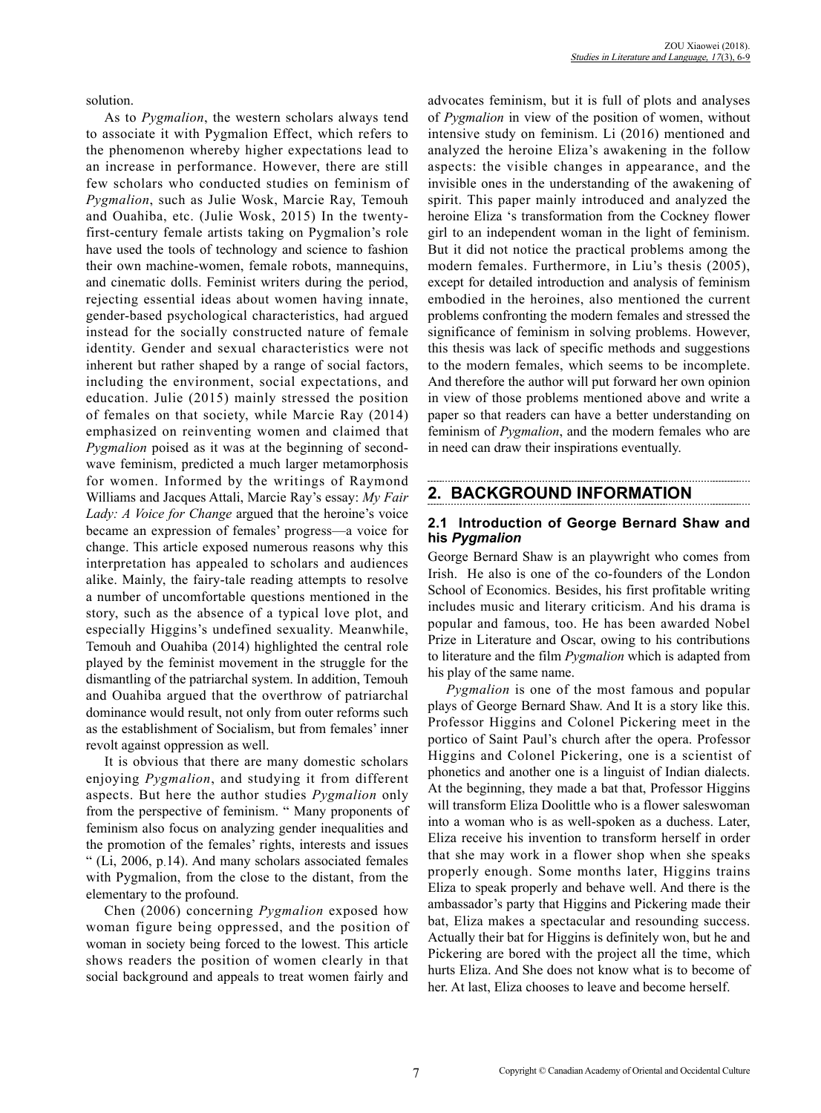solution.

As to *Pygmalion*, the western scholars always tend to associate it with Pygmalion Effect, which refers to the phenomenon whereby higher expectations lead to an increase in performance. However, there are still few scholars who conducted studies on feminism of *Pygmalion*, such as Julie Wosk, Marcie Ray, Temouh and Ouahiba, etc. (Julie Wosk, 2015) In the twentyfirst-century female artists taking on Pygmalion's role have used the tools of technology and science to fashion their own machine-women, female robots, mannequins, and cinematic dolls. Feminist writers during the period, rejecting essential ideas about women having innate, gender-based psychological characteristics, had argued instead for the socially constructed nature of female identity. Gender and sexual characteristics were not inherent but rather shaped by a range of social factors, including the environment, social expectations, and education. Julie (2015) mainly stressed the position of females on that society, while Marcie Ray (2014) emphasized on reinventing women and claimed that *Pygmalion* poised as it was at the beginning of secondwave feminism, predicted a much larger metamorphosis for women. Informed by the writings of Raymond Williams and Jacques Attali, Marcie Ray's essay: *My Fair Lady: A Voice for Change* argued that the heroine's voice became an expression of females' progress—a voice for change. This article exposed numerous reasons why this interpretation has appealed to scholars and audiences alike. Mainly, the fairy-tale reading attempts to resolve a number of uncomfortable questions mentioned in the story, such as the absence of a typical love plot, and especially Higgins's undefined sexuality. Meanwhile, Temouh and Ouahiba (2014) highlighted the central role played by the feminist movement in the struggle for the dismantling of the patriarchal system. In addition, Temouh and Ouahiba argued that the overthrow of patriarchal dominance would result, not only from outer reforms such as the establishment of Socialism, but from females' inner revolt against oppression as well.

It is obvious that there are many domestic scholars enjoying *Pygmalion*, and studying it from different aspects. But here the author studies *Pygmalion* only from the perspective of feminism. " Many proponents of feminism also focus on analyzing gender inequalities and the promotion of the females' rights, interests and issues " (Li, 2006, p.14). And many scholars associated females with Pygmalion, from the close to the distant, from the elementary to the profound.

Chen (2006) concerning *Pygmalion* exposed how woman figure being oppressed, and the position of woman in society being forced to the lowest. This article shows readers the position of women clearly in that social background and appeals to treat women fairly and advocates feminism, but it is full of plots and analyses of *Pygmalion* in view of the position of women, without intensive study on feminism. Li (2016) mentioned and analyzed the heroine Eliza's awakening in the follow aspects: the visible changes in appearance, and the invisible ones in the understanding of the awakening of spirit. This paper mainly introduced and analyzed the heroine Eliza 's transformation from the Cockney flower girl to an independent woman in the light of feminism. But it did not notice the practical problems among the modern females. Furthermore, in Liu's thesis (2005), except for detailed introduction and analysis of feminism embodied in the heroines, also mentioned the current problems confronting the modern females and stressed the significance of feminism in solving problems. However, this thesis was lack of specific methods and suggestions to the modern females, which seems to be incomplete. And therefore the author will put forward her own opinion in view of those problems mentioned above and write a paper so that readers can have a better understanding on feminism of *Pygmalion*, and the modern females who are in need can draw their inspirations eventually.

# **2. BACKGROUND INFORMATION**

### **2.1 Introduction of George Bernard Shaw and his** *Pygmalion*

George Bernard Shaw is an playwright who comes from Irish. He also is one of the co-founders of the London School of Economics. Besides, his first profitable writing includes music and literary criticism. And his drama is popular and famous, too. He has been awarded Nobel Prize in Literature and Oscar, owing to his contributions to literature and the film *Pygmalion* which is adapted from his play of the same name.

*Pygmalion* is one of the most famous and popular plays of George Bernard Shaw. And It is a story like this. Professor Higgins and Colonel Pickering meet in the portico of Saint Paul's church after the opera. Professor Higgins and Colonel Pickering, one is a scientist of phonetics and another one is a linguist of Indian dialects. At the beginning, they made a bat that, Professor Higgins will transform Eliza Doolittle who is a flower saleswoman into a woman who is as well-spoken as a duchess. Later, Eliza receive his invention to transform herself in order that she may work in a flower shop when she speaks properly enough. Some months later, Higgins trains Eliza to speak properly and behave well. And there is the ambassador's party that Higgins and Pickering made their bat, Eliza makes a spectacular and resounding success. Actually their bat for Higgins is definitely won, but he and Pickering are bored with the project all the time, which hurts Eliza. And She does not know what is to become of her. At last, Eliza chooses to leave and become herself.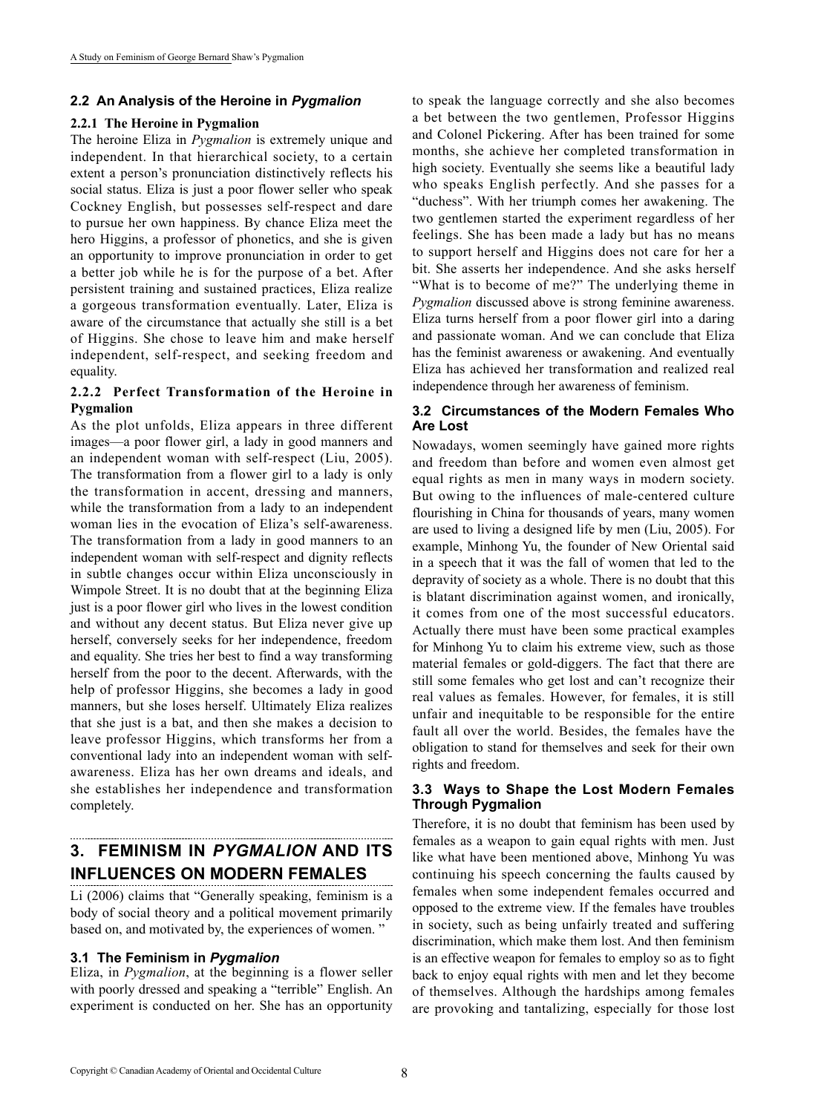#### **2.2 An Analysis of the Heroine in** *Pygmalion*

#### **2.2.1 The Heroine in Pygmalion**

The heroine Eliza in *Pygmalion* is extremely unique and independent. In that hierarchical society, to a certain extent a person's pronunciation distinctively reflects his social status. Eliza is just a poor flower seller who speak Cockney English, but possesses self-respect and dare to pursue her own happiness. By chance Eliza meet the hero Higgins, a professor of phonetics, and she is given an opportunity to improve pronunciation in order to get a better job while he is for the purpose of a bet. After persistent training and sustained practices, Eliza realize a gorgeous transformation eventually. Later, Eliza is aware of the circumstance that actually she still is a bet of Higgins. She chose to leave him and make herself independent, self-respect, and seeking freedom and equality.

#### **2.2.2 Perfect Transformation of the Heroine in Pygmalion**

As the plot unfolds, Eliza appears in three different images—a poor flower girl, a lady in good manners and an independent woman with self-respect (Liu, 2005). The transformation from a flower girl to a lady is only the transformation in accent, dressing and manners, while the transformation from a lady to an independent woman lies in the evocation of Eliza's self-awareness. The transformation from a lady in good manners to an independent woman with self-respect and dignity reflects in subtle changes occur within Eliza unconsciously in Wimpole Street. It is no doubt that at the beginning Eliza just is a poor flower girl who lives in the lowest condition and without any decent status. But Eliza never give up herself, conversely seeks for her independence, freedom and equality. She tries her best to find a way transforming herself from the poor to the decent. Afterwards, with the help of professor Higgins, she becomes a lady in good manners, but she loses herself. Ultimately Eliza realizes that she just is a bat, and then she makes a decision to leave professor Higgins, which transforms her from a conventional lady into an independent woman with selfawareness. Eliza has her own dreams and ideals, and she establishes her independence and transformation completely.

# **3. FEMINISM IN** *PYGMALION* **AND ITS INFLUENCES ON MODERN FEMALES**

Li (2006) claims that "Generally speaking, feminism is a body of social theory and a political movement primarily based on, and motivated by, the experiences of women. "

### **3.1 The Feminism in** *Pygmalion*

Eliza, in *Pygmalion*, at the beginning is a flower seller with poorly dressed and speaking a "terrible" English. An experiment is conducted on her. She has an opportunity to speak the language correctly and she also becomes a bet between the two gentlemen, Professor Higgins and Colonel Pickering. After has been trained for some months, she achieve her completed transformation in high society. Eventually she seems like a beautiful lady who speaks English perfectly. And she passes for a "duchess". With her triumph comes her awakening. The two gentlemen started the experiment regardless of her feelings. She has been made a lady but has no means to support herself and Higgins does not care for her a bit. She asserts her independence. And she asks herself "What is to become of me?" The underlying theme in *Pygmalion* discussed above is strong feminine awareness. Eliza turns herself from a poor flower girl into a daring and passionate woman. And we can conclude that Eliza has the feminist awareness or awakening. And eventually Eliza has achieved her transformation and realized real independence through her awareness of feminism.

### **3.2 Circumstances of the Modern Females Who Are Lost**

Nowadays, women seemingly have gained more rights and freedom than before and women even almost get equal rights as men in many ways in modern society. But owing to the influences of male-centered culture flourishing in China for thousands of years, many women are used to living a designed life by men (Liu, 2005). For example, Minhong Yu, the founder of New Oriental said in a speech that it was the fall of women that led to the depravity of society as a whole. There is no doubt that this is blatant discrimination against women, and ironically, it comes from one of the most successful educators. Actually there must have been some practical examples for Minhong Yu to claim his extreme view, such as those material females or gold-diggers. The fact that there are still some females who get lost and can't recognize their real values as females. However, for females, it is still unfair and inequitable to be responsible for the entire fault all over the world. Besides, the females have the obligation to stand for themselves and seek for their own rights and freedom.

#### **3.3 Ways to Shape the Lost Modern Females Through Pygmalion**

Therefore, it is no doubt that feminism has been used by females as a weapon to gain equal rights with men. Just like what have been mentioned above, Minhong Yu was continuing his speech concerning the faults caused by females when some independent females occurred and opposed to the extreme view. If the females have troubles in society, such as being unfairly treated and suffering discrimination, which make them lost. And then feminism is an effective weapon for females to employ so as to fight back to enjoy equal rights with men and let they become of themselves. Although the hardships among females are provoking and tantalizing, especially for those lost